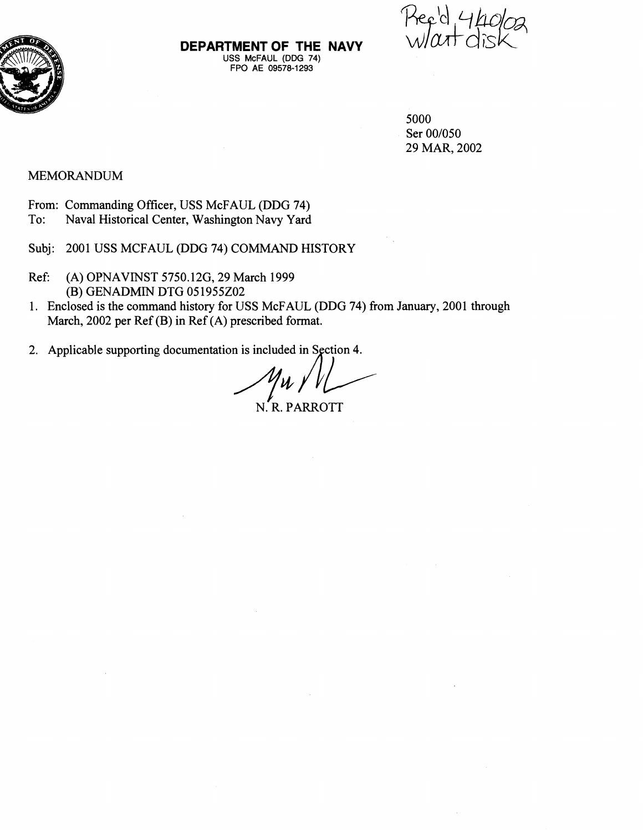

**DEPARTMENT OF THE NAVY**  USS McFAUL (DDG 74) FPO AE **09578-1293** 

5000 Ser 00/050 29 MAR, 2002

### MEMORANDUM

- From: Commanding Officer, USS McFAUL (DDG 74)
- To: Naval Historical Center, Washington Navy Yard
- Subj: 2001 USS MCFAUL (DDG 74) COMMAND HISTORY
- Ref: (A) OPNAVINST 5750.12G, 29 March 1999 (B) GENADMIN DTG 05 1955202
- 1. Enclosed is the command history for USS McFAUL (DDG 74) fiom January, 2001 through March, 2002 per Ref (B) in Ref (A) prescribed format.
- 

2. Applicable supporting documentation is included in Section 4.<br>  $M \sim \frac{M \sqrt{M}}{N \cdot R}$ . PARROTT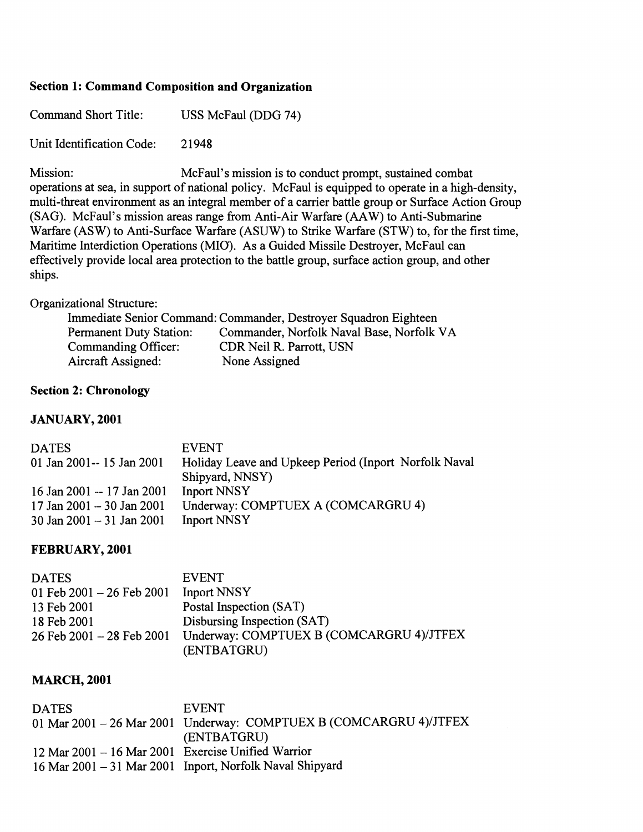### **Section 1: Command Composition and Organization**

| <b>Command Short Title:</b> | USS McFaul (DDG 74) |
|-----------------------------|---------------------|
|                             |                     |

Unit Identification Code: 2 1948

Mission: McFaul's mission is to conduct prompt, sustained combat operations at sea, in support of national policy. McFaul is equipped to operate in a high-density, multi-threat environment as an integral member of a carrier battle group or Surface Action Group (SAG). McFaul's mission areas range from Anti-Air Warfare  $(AAW)$  to Anti-Submarine Warfare (ASW) to Anti-Surface Warfare (ASUW) to Strike Warfare (STW) to, for the first time, Maritime Interdiction Operations (MIO). As a Guided Missile Destroyer, McFaul can effectively provide local area protection to the battle group, surface action group, and other ships.

#### Organizational Structure:

|                                | Immediate Senior Command: Commander, Destroyer Squadron Eighteen |
|--------------------------------|------------------------------------------------------------------|
| <b>Permanent Duty Station:</b> | Commander, Norfolk Naval Base, Norfolk VA                        |
| Commanding Officer:            | CDR Neil R. Parrott, USN                                         |
| Aircraft Assigned:             | None Assigned                                                    |

### **Section 2: Chronology**

#### **JANUARY, 2001**

| <b>DATES</b>               | EVENT.                                                |
|----------------------------|-------------------------------------------------------|
| 01 Jan 2001--15 Jan 2001   | Holiday Leave and Upkeep Period (Inport Norfolk Naval |
|                            | Shipyard, NNSY)                                       |
| 16 Jan 2001 -- 17 Jan 2001 | <b>Inport NNSY</b>                                    |
| 17 Jan 2001 - 30 Jan 2001  | Underway: COMPTUEX A (COMCARGRU 4)                    |
| 30 Jan 2001 - 31 Jan 2001  | <b>Inport NNSY</b>                                    |

### **FEBRUARY, 2001**

| <b>DATES</b>                    | <b>EVENT</b>                             |
|---------------------------------|------------------------------------------|
| 01 Feb $2001 - 26$ Feb $2001$   | <b>Inport NNSY</b>                       |
| 13 Feb 2001                     | Postal Inspection (SAT)                  |
| 18 Feb 2001                     | Disbursing Inspection (SAT)              |
| $26$ Feb $2001 - 28$ Feb $2001$ | Underway: COMPTUEX B (COMCARGRU 4)/JTFEX |
|                                 | (ENTBATGRU)                              |

### **MARCH, 2001**

| <b>DATES</b>                                       | <b>EVENT</b>                                                       |
|----------------------------------------------------|--------------------------------------------------------------------|
|                                                    | 01 Mar 2001 - 26 Mar 2001 Underway: COMPTUEX B (COMCARGRU 4)/JTFEX |
|                                                    | (ENTBATGRU)                                                        |
| 12 Mar 2001 - 16 Mar 2001 Exercise Unified Warrior |                                                                    |
|                                                    | 16 Mar 2001 - 31 Mar 2001 Inport, Norfolk Naval Shipyard           |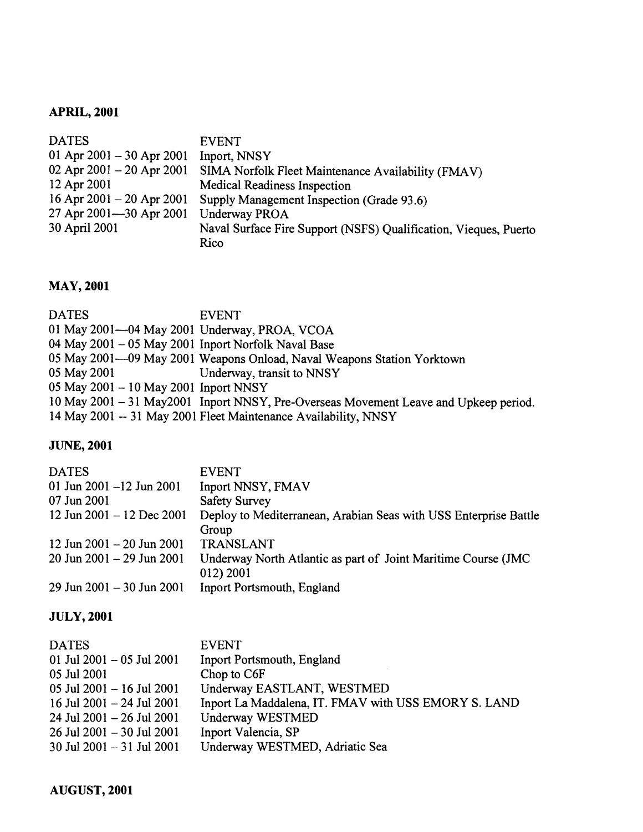# **APRIL, 2001**

| <b>DATES</b>              | <b>EVENT</b>                                                     |
|---------------------------|------------------------------------------------------------------|
| 01 Apr 2001 – 30 Apr 2001 | Inport, NNSY                                                     |
| 02 Apr 2001 – 20 Apr 2001 | SIMA Norfolk Fleet Maintenance Availability (FMAV)               |
| 12 Apr 2001               | <b>Medical Readiness Inspection</b>                              |
| 16 Apr 2001 – 20 Apr 2001 | Supply Management Inspection (Grade 93.6)                        |
| 27 Apr 2001-30 Apr 2001   | Underway PROA                                                    |
| 30 April 2001             | Naval Surface Fire Support (NSFS) Qualification, Vieques, Puerto |
|                           | Rico                                                             |

# **MAY, 2001**

| <b>DATES</b>                                        | <b>EVENT</b>                                                                          |
|-----------------------------------------------------|---------------------------------------------------------------------------------------|
| 01 May 2001—04 May 2001 Underway, PROA, VCOA        |                                                                                       |
| 04 May 2001 - 05 May 2001 Inport Norfolk Naval Base |                                                                                       |
|                                                     | 05 May 2001—09 May 2001 Weapons Onload, Naval Weapons Station Yorktown                |
| 05 May 2001                                         | Underway, transit to NNSY                                                             |
| 05 May 2001 - 10 May 2001 Inport NNSY               |                                                                                       |
|                                                     | 10 May 2001 - 31 May 2001 Inport NNSY, Pre-Overseas Movement Leave and Upkeep period. |
|                                                     | 14 May 2001 -- 31 May 2001 Fleet Maintenance Availability, NNSY                       |

# **JUNE, 2001**

| <b>DATES</b>                  | <b>EVENT</b>                                                     |
|-------------------------------|------------------------------------------------------------------|
| 01 Jun 2001 $-12$ Jun 2001    | Inport NNSY, FMAV                                                |
| 07 Jun 2001                   | <b>Safety Survey</b>                                             |
| 12 Jun 2001 - 12 Dec 2001     | Deploy to Mediterranean, Arabian Seas with USS Enterprise Battle |
|                               | Group                                                            |
| 12 Jun $2001 - 20$ Jun $2001$ | TRANSLANT                                                        |
| 20 Jun 2001 - 29 Jun 2001     | Underway North Atlantic as part of Joint Maritime Course (JMC)   |
|                               | 012) 2001                                                        |
| 29 Jun 2001 - 30 Jun 2001     | Inport Portsmouth, England                                       |

# **JULY, 2001**

| <b>DATES</b>                    | <b>EVENT</b>                                         |
|---------------------------------|------------------------------------------------------|
| 01 Jul 2001 $-$ 05 Jul 2001     | <b>Inport Portsmouth, England</b>                    |
| 05 Jul 2001                     | Chop to C6F                                          |
| $05$ Jul 2001 - 16 Jul 2001     | Underway EASTLANT, WESTMED                           |
| 16 Jul 2001 $-$ 24 Jul 2001     | Inport La Maddalena, IT. FMAV with USS EMORY S. LAND |
| $24$ Jul $2001 - 26$ Jul $2001$ | Underway WESTMED                                     |
| 26 Jul 2001 - 30 Jul 2001       | Inport Valencia, SP                                  |
| 30 Jul 2001 $-$ 31 Jul 2001     | Underway WESTMED, Adriatic Sea                       |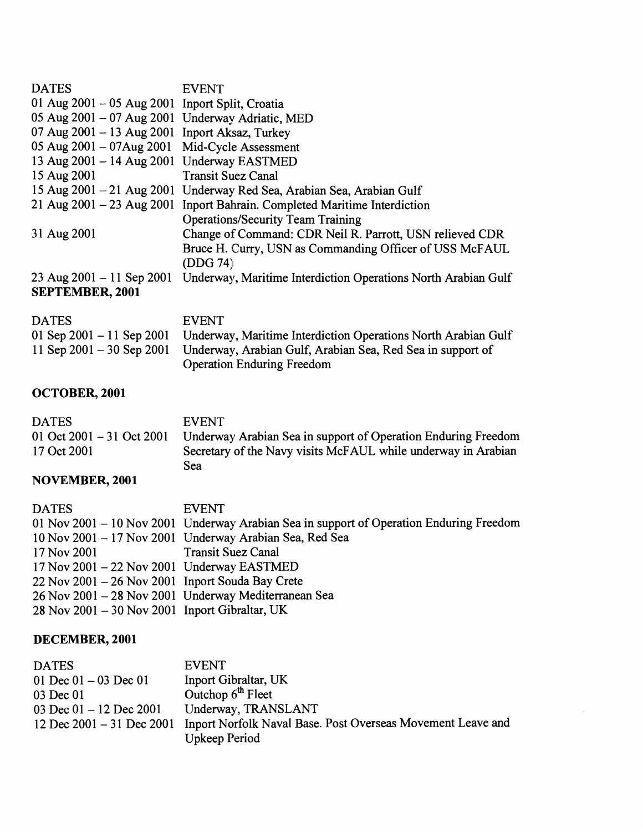| <b>DATES</b>                                        | <b>EVENT</b>                                                              |
|-----------------------------------------------------|---------------------------------------------------------------------------|
| 01 Aug $2001 - 05$ Aug $2001$ Inport Split, Croatia |                                                                           |
| 05 Aug 2001 - 07 Aug 2001 Underway Adriatic, MED    |                                                                           |
| 07 Aug $2001 - 13$ Aug $2001$ Inport Aksaz, Turkey  |                                                                           |
| 05 Aug 2001 - 07 Aug 2001 Mid-Cycle Assessment      |                                                                           |
| 13 Aug 2001 - 14 Aug 2001 Underway EASTMED          |                                                                           |
| 15 Aug 2001                                         | <b>Transit Suez Canal</b>                                                 |
|                                                     | 15 Aug 2001 - 21 Aug 2001 Underway Red Sea, Arabian Sea, Arabian Gulf     |
|                                                     | 21 Aug 2001 - 23 Aug 2001 Inport Bahrain. Completed Maritime Interdiction |
|                                                     | <b>Operations/Security Team Training</b>                                  |
| 31 Aug 2001                                         | Change of Command: CDR Neil R. Parrott, USN relieved CDR                  |
|                                                     | Bruce H. Curry, USN as Commanding Officer of USS McFAUL                   |
|                                                     | (DDG 74)                                                                  |
| $23$ Aug $2001 - 11$ Sep $2001$                     | Underway, Maritime Interdiction Operations North Arabian Gulf             |
| <b>SEPTEMBER, 2001</b>                              |                                                                           |
|                                                     |                                                                           |
|                                                     |                                                                           |

| <b>DATES</b> | <b>EVENT</b>                                                                                                              |
|--------------|---------------------------------------------------------------------------------------------------------------------------|
|              | 01 Sep 2001 – 11 Sep 2001 Underway, Maritime Interdiction Operations North Arabian Gulf                                   |
|              | 11 Sep 2001 – 30 Sep 2001 Underway, Arabian Gulf, Arabian Sea, Red Sea in support of<br><b>Operation Enduring Freedom</b> |

# **OCTOBER,, 2001**

| <b>DATES</b>               | <b>EVENT</b>                                                  |
|----------------------------|---------------------------------------------------------------|
| 01 Oct 2001 $-31$ Oct 2001 | Underway Arabian Sea in support of Operation Enduring Freedom |
| 17 Oct 2001                | Secretary of the Navy visits McFAUL while underway in Arabian |
|                            | Sea                                                           |

# **NOVEMBER, 2001**

| <b>DATES</b>                                           | <b>EVENT</b>                                                                            |
|--------------------------------------------------------|-----------------------------------------------------------------------------------------|
|                                                        | 01 Nov 2001 – 10 Nov 2001 Underway Arabian Sea in support of Operation Enduring Freedom |
|                                                        | 10 Nov 2001 - 17 Nov 2001 Underway Arabian Sea, Red Sea                                 |
| 17 Nov 2001                                            | <b>Transit Suez Canal</b>                                                               |
| $17$ Nov $2001 - 22$ Nov $2001$ Underway EASTMED       |                                                                                         |
| $22$ Nov $2001 - 26$ Nov $2001$ Inport Souda Bay Crete |                                                                                         |
|                                                        | 26 Nov 2001 - 28 Nov 2001 Underway Mediterranean Sea                                    |
| 28 Nov 2001 – 30 Nov 2001 Inport Gibraltar, UK         |                                                                                         |

# **DECEMBER, 2001**

| <b>DATES</b>                  | <b>EVENT</b>                                                |
|-------------------------------|-------------------------------------------------------------|
| 01 Dec $01 - 03$ Dec 01       | Inport Gibraltar, UK                                        |
| 03 Dec 01                     | Outchop $6th$ Fleet                                         |
| 03 Dec $01 - 12$ Dec 2001     | Underway, TRANSLANT                                         |
| 12 Dec $2001 - 31$ Dec $2001$ | Inport Norfolk Naval Base. Post Overseas Movement Leave and |
|                               | Upkeep Period                                               |

 $\overline{\phantom{a}}$